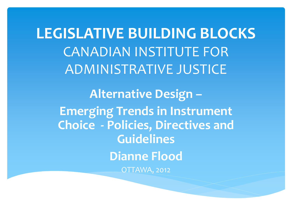**LEGISLATIVE BUILDING BLOCKS** CANADIAN INSTITUTE FOR ADMINISTRATIVE JUSTICE

**Alternative Design – Emerging Trends in Instrument Choice - Policies, Directives and Guidelines Dianne Flood** OTTAWA, 2012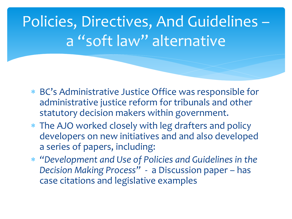## Policies, Directives, And Guidelines – a "soft law" alternative

- BC's Administrative Justice Office was responsible for administrative justice reform for tribunals and other statutory decision makers within government.
- The AJO worked closely with leg drafters and policy developers on new initiatives and and also developed a series of papers, including:
- *"Development and Use of Policies and Guidelines in the Decision Making Process"* - a Discussion paper – has case citations and legislative examples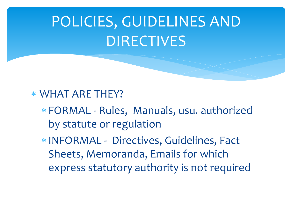#### WHAT ARE THEY?

- FORMAL Rules, Manuals, usu. authorized by statute or regulation
- INFORMAL Directives, Guidelines, Fact Sheets, Memoranda, Emails for which express statutory authority is not required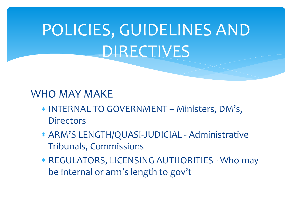#### WHO MAY MAKE

- INTERNAL TO GOVERNMENT Ministers, DM's, **Directors**
- ARM'S LENGTH/QUASI-JUDICIAL Administrative Tribunals, Commissions
- REGULATORS, LICENSING AUTHORITIES Who may be internal or arm's length to gov't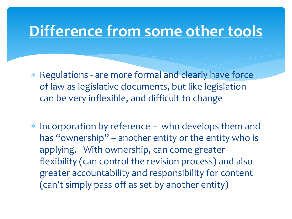#### **Difference from some other tools**

- Regulations are more formal and clearly have force of law as legislative documents, but like legislation can be very inflexible, and difficult to change
- Incorporation by reference who develops them and has "ownership" – another entity or the entity who is applying. With ownership, can come greater flexibility (can control the revision process) and also greater accountability and responsibility for content (can't simply pass off as set by another entity)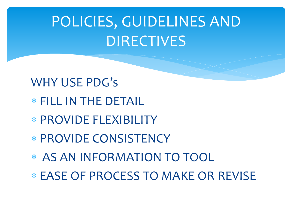- WHY USE PDG's
- FILL IN THE DETAIL
- PROVIDE FLEXIBILITY
- PROVIDE CONSISTENCY
- \* AS AN INFORMATION TO TOOL
- EASE OF PROCESS TO MAKE OR REVISE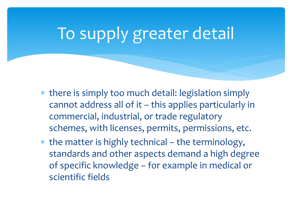# To supply greater detail

- there is simply too much detail: legislation simply cannot address all of it – this applies particularly in commercial, industrial, or trade regulatory schemes, with licenses, permits, permissions, etc.
- the matter is highly technical the terminology, standards and other aspects demand a high degree of specific knowledge – for example in medical or scientific fields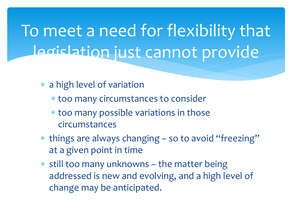To meet a need for flexibility that legislation just cannot provide

- a high level of variation
	- too many circumstances to consider
	- too many possible variations in those circumstances
- things are always changing so to avoid "freezing" at a given point in time
- $*$  still too many unknowns the matter being addressed is new and evolving, and a high level of change may be anticipated.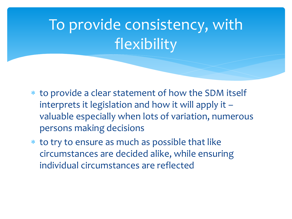# To provide consistency, with flexibility

- to provide a clear statement of how the SDM itself interprets it legislation and how it will apply it – valuable especially when lots of variation, numerous persons making decisions
- to try to ensure as much as possible that like circumstances are decided alike, while ensuring individual circumstances are reflected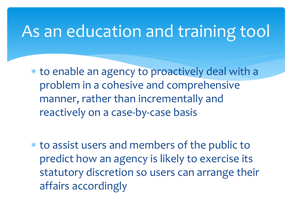### As an education and training tool

 to enable an agency to proactively deal with a problem in a cohesive and comprehensive manner, rather than incrementally and reactively on a case-by-case basis

 to assist users and members of the public to predict how an agency is likely to exercise its statutory discretion so users can arrange their affairs accordingly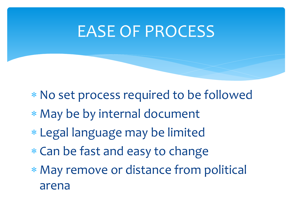### EASE OF PROCESS

- No set process required to be followed
- May be by internal document
- Legal language may be limited
- Can be fast and easy to change
- May remove or distance from political arena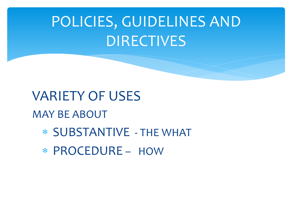VARIETY OF USES MAY BE ABOUT SUBSTANTIVE - THE WHAT PROCEDURE – HOW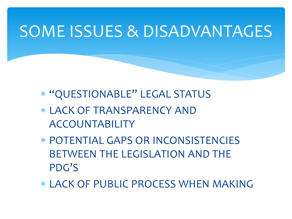### SOME ISSUES & DISADVANTAGES

- "QUESTIONABLE" LEGAL STATUS
- LACK OF TRANSPARENCY AND ACCOUNTABILITY
- POTENTIAL GAPS OR INCONSISTENCIES BETWEEN THE LEGISLATION AND THE PDG'S
- LACK OF PUBLIC PROCESS WHEN MAKING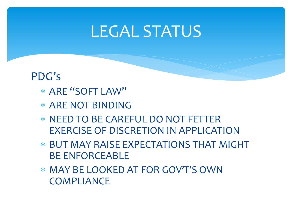#### LEGAL STATUS

#### PDG's

- ARE "SOFT LAW"
- ARE NOT BINDING
- NEED TO BE CAREFUL DO NOT FETTER EXERCISE OF DISCRETION IN APPLICATION
- BUT MAY RAISE EXPECTATIONS THAT MIGHT BE ENFORCEABLE
- MAY BE LOOKED AT FOR GOV'T'S OWN **COMPLIANCE**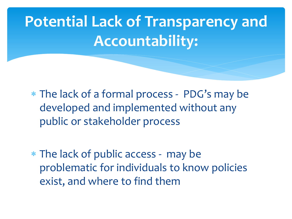# **Potential Lack of Transparency and Accountability:**

 The lack of a formal process - PDG's may be developed and implemented without any public or stakeholder process

 The lack of public access - may be problematic for individuals to know policies exist, and where to find them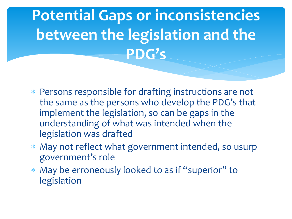## **Potential Gaps or inconsistencies between the legislation and the PDG's**

- Persons responsible for drafting instructions are not the same as the persons who develop the PDG's that implement the legislation, so can be gaps in the understanding of what was intended when the legislation was drafted
- May not reflect what government intended, so usurp government's role
- May be erroneously looked to as if "superior" to legislation